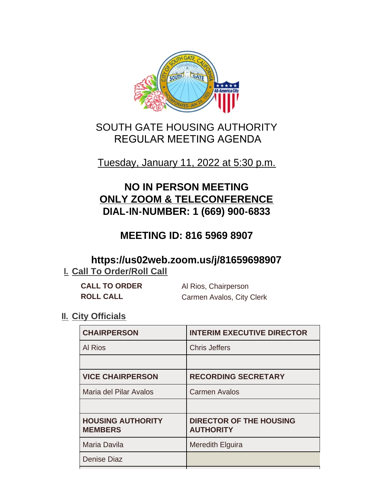

# SOUTH GATE HOUSING AUTHORITY REGULAR MEETING AGENDA

## Tuesday, January 11, 2022 at 5:30 p.m.

# **NO IN PERSON MEETING ONLY ZOOM & TELECONFERENCE DIAL-IN-NUMBER: 1 (669) 900-6833**

# **MEETING ID: 816 5969 8907**

## **https://us02web.zoom.us/j/81659698907 I. Call To Order/Roll Call**

| <b>CALL TO ORDER</b> | Al Rios, Chairperson      |
|----------------------|---------------------------|
| <b>ROLL CALL</b>     | Carmen Avalos, City Clerk |

### **II.** City Officials

| <b>CHAIRPERSON</b>                         | <b>INTERIM EXECUTIVE DIRECTOR</b>                  |
|--------------------------------------------|----------------------------------------------------|
| <b>Al Rios</b>                             | <b>Chris Jeffers</b>                               |
|                                            |                                                    |
| <b>VICE CHAIRPERSON</b>                    | <b>RECORDING SECRETARY</b>                         |
| Maria del Pilar Avalos                     | <b>Carmen Avalos</b>                               |
|                                            |                                                    |
| <b>HOUSING AUTHORITY</b><br><b>MEMBERS</b> | <b>DIRECTOR OF THE HOUSING</b><br><b>AUTHORITY</b> |
| Maria Davila                               | <b>Meredith Elguira</b>                            |
| <b>Denise Diaz</b>                         |                                                    |
|                                            |                                                    |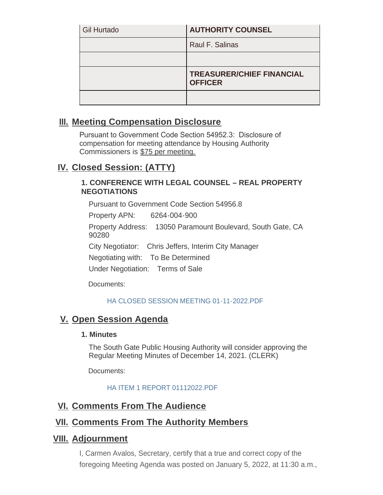| <b>Gil Hurtado</b> | <b>AUTHORITY COUNSEL</b>                           |
|--------------------|----------------------------------------------------|
|                    | Raul F. Salinas                                    |
|                    |                                                    |
|                    | <b>TREASURER/CHIEF FINANCIAL</b><br><b>OFFICER</b> |
|                    |                                                    |

## **Meeting Compensation Disclosure III.**

Pursuant to Government Code Section 54952.3: Disclosure of compensation for meeting attendance by Housing Authority Commissioners is \$75 per meeting.

## **Closed Session: (ATTY) IV.**

#### **1. CONFERENCE WITH LEGAL COUNSEL – REAL PROPERTY NEGOTIATIONS**

Pursuant to Government Code Section 54956.8

Property APN: 6264-004-900

Property Address: 13050 Paramount Boulevard, South Gate, CA 90280

City Negotiator: Chris Jeffers, Interim City Manager

Negotiating with: To Be Determined

Under Negotiation: Terms of Sale

Documents:

#### [HA CLOSED SESSION MEETING 01-11-2022.PDF](http://www.cityofsouthgate.org/AgendaCenter/ViewFile/Item/11572?fileID=36080)

## **V.** Open Session Agenda

#### **1. Minutes**

The South Gate Public Housing Authority will consider approving the Regular Meeting Minutes of December 14, 2021. (CLERK)

Documents:

#### [HA ITEM 1 REPORT 01112022.PDF](http://www.cityofsouthgate.org/AgendaCenter/ViewFile/Item/11571?fileID=36079)

### **<u>VI. Comments From The Audience</u>**

### **<u>VII. Comments From The Authority Members</u>**

### **Adjournment VIII.**

I, Carmen Avalos, Secretary, certify that a true and correct copy of the foregoing Meeting Agenda was posted on January 5, 2022, at 11:30 a.m.,